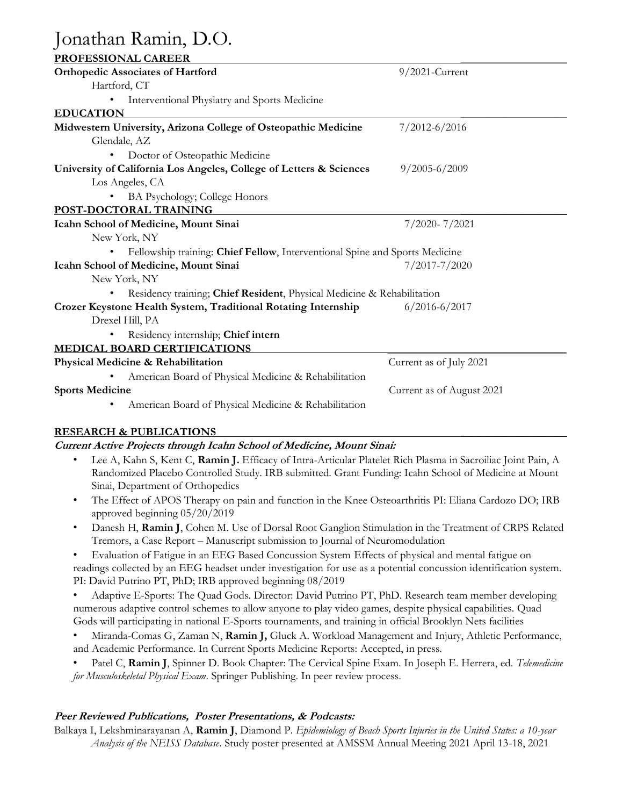# Jonathan Ramin, D.O.

|--|

| <b>PROFESSIONAL CAREER</b>                                                  |                           |  |
|-----------------------------------------------------------------------------|---------------------------|--|
| <b>Orthopedic Associates of Hartford</b>                                    | $9/2021$ -Current         |  |
| Hartford, CT                                                                |                           |  |
| Interventional Physiatry and Sports Medicine                                |                           |  |
| <b>EDUCATION</b>                                                            |                           |  |
| Midwestern University, Arizona College of Osteopathic Medicine              | $7/2012 - 6/2016$         |  |
| Glendale, AZ                                                                |                           |  |
| Doctor of Osteopathic Medicine                                              |                           |  |
| University of California Los Angeles, College of Letters & Sciences         | $9/2005 - 6/2009$         |  |
| Los Angeles, CA                                                             |                           |  |
| BA Psychology; College Honors                                               |                           |  |
| POST-DOCTORAL TRAINING                                                      |                           |  |
| Icahn School of Medicine, Mount Sinai                                       | $7/2020 - 7/2021$         |  |
| New York, NY                                                                |                           |  |
| Fellowship training: Chief Fellow, Interventional Spine and Sports Medicine |                           |  |
| Icahn School of Medicine, Mount Sinai                                       | 7/2017-7/2020             |  |
| New York, NY                                                                |                           |  |
| Residency training; Chief Resident, Physical Medicine & Rehabilitation      |                           |  |
| Crozer Keystone Health System, Traditional Rotating Internship              | $6/2016 - 6/2017$         |  |
| Drexel Hill, PA                                                             |                           |  |
| Residency internship; Chief intern                                          |                           |  |
| <b>MEDICAL BOARD CERTIFICATIONS</b>                                         |                           |  |
| Physical Medicine & Rehabilitation                                          | Current as of July 2021   |  |
| American Board of Physical Medicine & Rehabilitation                        |                           |  |
| <b>Sports Medicine</b>                                                      | Current as of August 2021 |  |
| American Board of Physical Medicine & Rehabilitation                        |                           |  |
|                                                                             |                           |  |

## **RESEARCH & PUBLICATIONS \_\_\_\_\_\_\_\_\_\_\_\_\_\_\_\_\_\_\_**

## **Current Active Projects through Icahn School of Medicine, Mount Sinai:**

- Lee A, Kahn S, Kent C, **Ramin J.** Efficacy of Intra-Articular Platelet Rich Plasma in Sacroiliac Joint Pain, A Randomized Placebo Controlled Study. IRB submitted. Grant Funding: Icahn School of Medicine at Mount Sinai, Department of Orthopedics
- The Effect of APOS Therapy on pain and function in the Knee Osteoarthritis PI: Eliana Cardozo DO; IRB approved beginning 05/20/2019
- Danesh H, **Ramin J**, Cohen M. Use of Dorsal Root Ganglion Stimulation in the Treatment of CRPS Related Tremors, a Case Report – Manuscript submission to Journal of Neuromodulation

• Evaluation of Fatigue in an EEG Based Concussion System Effects of physical and mental fatigue on readings collected by an EEG headset under investigation for use as a potential concussion identification system. PI: David Putrino PT, PhD; IRB approved beginning 08/2019

• Adaptive E-Sports: The Quad Gods. Director: David Putrino PT, PhD. Research team member developing numerous adaptive control schemes to allow anyone to play video games, despite physical capabilities. Quad Gods will participating in national E-Sports tournaments, and training in official Brooklyn Nets facilities

- Miranda-Comas G, Zaman N, **Ramin J,** Gluck A. Workload Management and Injury, Athletic Performance, and Academic Performance. In Current Sports Medicine Reports: Accepted, in press.
- Patel C, **Ramin J**, Spinner D. Book Chapter: The Cervical Spine Exam. In Joseph E. Herrera, ed. *Telemedicine for Musculoskeletal Physical Exam*. Springer Publishing. In peer review process.

## **Peer Reviewed Publications, Poster Presentations, & Podcasts:**

Balkaya I, Lekshminarayanan A, **Ramin J**, Diamond P. *Epidemiology of Beach Sports Injuries in the United States: a 10-year Analysis of the NEISS Database*. Study poster presented at AMSSM Annual Meeting 2021 April 13-18, 2021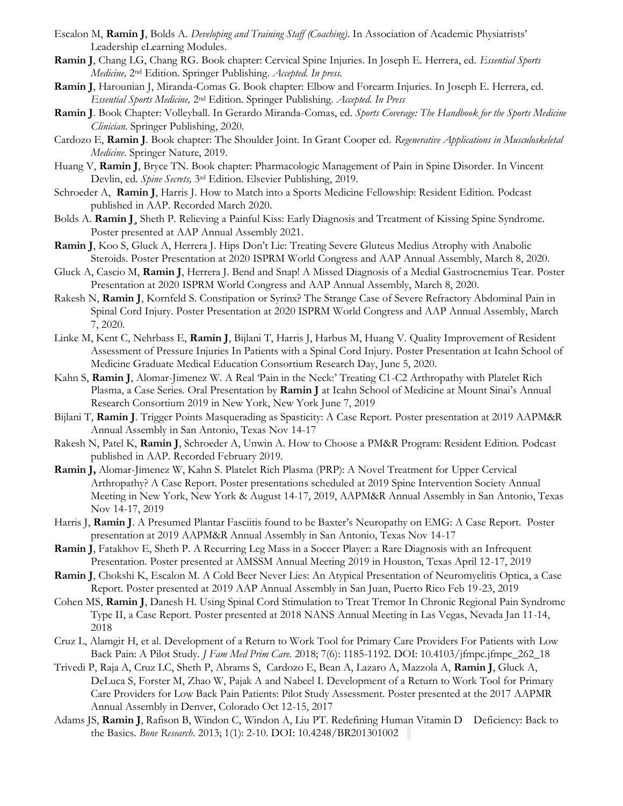- Escalon M, **Ramin J**, Bolds A. *Developing and Training Staff (Coaching)*. In Association of Academic Physiatrists' Leadership eLearning Modules.
- **Ramin J**, Chang LG, Chang RG. Book chapter: Cervical Spine Injuries. In Joseph E. Herrera, ed. *Essential Sports Medicine,* 2nd Edition. Springer Publishing. *Accepted. In press.*
- **Ramin J**, Harounian J, Miranda-Comas G. Book chapter: Elbow and Forearm Injuries. In Joseph E. Herrera, ed. *Essential Sports Medicine,* 2nd Edition. Springer Publishing. *Accepted. In Press*
- **Ramin J**. Book Chapter: Volleyball. In Gerardo Miranda-Comas, ed. *Sports Coverage: The Handbook for the Sports Medicine Clinician*. Springer Publishing, 2020.
- Cardozo E, **Ramin J**. Book chapter: The Shoulder Joint. In Grant Cooper ed. *Regenerative Applications in Musculoskeletal Medicine*. Springer Nature, 2019*.*
- Huang V, **Ramin J**, Bryce TN. Book chapter: Pharmacologic Management of Pain in Spine Disorder. In Vincent Devlin, ed. *Spine Secrets,* 3rd Edition. Elsevier Publishing, 2019.
- Schroeder A, **Ramin J**, Harris J. How to Match into a Sports Medicine Fellowship: Resident Edition. Podcast published in AAP. Recorded March 2020.
- Bolds A. **Ramin J¸** Sheth P. Relieving a Painful Kiss: Early Diagnosis and Treatment of Kissing Spine Syndrome. Poster presented at AAP Annual Assembly 2021.
- **Ramin J**, Koo S, Gluck A, Herrera J. Hips Don't Lie: Treating Severe Gluteus Medius Atrophy with Anabolic Steroids. Poster Presentation at 2020 ISPRM World Congress and AAP Annual Assembly, March 8, 2020.
- Gluck A, Cascio M, **Ramin J**, Herrera J. Bend and Snap! A Missed Diagnosis of a Medial Gastrocnemius Tear. Poster Presentation at 2020 ISPRM World Congress and AAP Annual Assembly, March 8, 2020.
- Rakesh N, **Ramin J**, Kornfeld S. Constipation or Syrinx? The Strange Case of Severe Refractory Abdominal Pain in Spinal Cord Injury. Poster Presentation at 2020 ISPRM World Congress and AAP Annual Assembly, March 7, 2020.
- Linke M, Kent C, Nehrbass E, **Ramin J**, Bijlani T, Harris J, Harbus M, Huang V. Quality Improvement of Resident Assessment of Pressure Injuries In Patients with a Spinal Cord Injury. Poster Presentation at Icahn School of Medicine Graduate Medical Education Consortium Research Day, June 5, 2020.
- Kahn S, **Ramin J**, Alomar-Jimenez W. A Real 'Pain in the Neck:' Treating C1-C2 Arthropathy with Platelet Rich Plasma, a Case Series. Oral Presentation by **Ramin J** at Icahn School of Medicine at Mount Sinai's Annual Research Consortium 2019 in New York, New York June 7, 2019
- Bijlani T, **Ramin J**. Trigger Points Masquerading as Spasticity: A Case Report. Poster presentation at 2019 AAPM&R Annual Assembly in San Antonio, Texas Nov 14-17
- Rakesh N, Patel K, **Ramin J**, Schroeder A, Unwin A. How to Choose a PM&R Program: Resident Edition. Podcast published in AAP. Recorded February 2019.
- **Ramin J,** Alomar-Jimenez W, Kahn S. Platelet Rich Plasma (PRP): A Novel Treatment for Upper Cervical Arthropathy? A Case Report. Poster presentations scheduled at 2019 Spine Intervention Society Annual Meeting in New York, New York & August 14-17, 2019, AAPM&R Annual Assembly in San Antonio, Texas Nov 14-17, 2019
- Harris J, **Ramin J**. A Presumed Plantar Fasciitis found to be Baxter's Neuropathy on EMG: A Case Report. Poster presentation at 2019 AAPM&R Annual Assembly in San Antonio, Texas Nov 14-17
- **Ramin J**, Fatakhov E, Sheth P. A Recurring Leg Mass in a Soccer Player: a Rare Diagnosis with an Infrequent Presentation. Poster presented at AMSSM Annual Meeting 2019 in Houston, Texas April 12-17, 2019
- **Ramin J**, Chokshi K, Escalon M. A Cold Beer Never Lies: An Atypical Presentation of Neuromyelitis Optica, a Case Report. Poster presented at 2019 AAP Annual Assembly in San Juan, Puerto Rico Feb 19-23, 2019
- Cohen MS, **Ramin J**, Danesh H. Using Spinal Cord Stimulation to Treat Tremor In Chronic Regional Pain Syndrome Type II, a Case Report. Poster presented at 2018 NANS Annual Meeting in Las Vegas, Nevada Jan 11-14, 2018
- Cruz L, Alamgir H, et al. Development of a Return to Work Tool for Primary Care Providers For Patients with Low Back Pain: A Pilot Study. *J Fam Med Prim Care.* 2018; 7(6): 1185-1192. DOI: 10.4103/jfmpc.jfmpc\_262\_18
- Trivedi P, Raja A, Cruz LC, Sheth P, Abrams S, Cardozo E, Bean A, Lazaro A, Mazzola A, **Ramin J**, Gluck A, DeLuca S, Forster M, Zhao W, Pajak A and Nabeel I. Development of a Return to Work Tool for Primary Care Providers for Low Back Pain Patients: Pilot Study Assessment. Poster presented at the 2017 AAPMR Annual Assembly in Denver, Colorado Oct 12-15, 2017
- Adams JS, Ramin J, Rafison B, Windon C, Windon A, Liu PT. Redefining Human Vitamin D Deficiency: Back to the Basics. *Bone Research*. 2013; 1(1): 2-10. DOI: 10.4248/BR201301002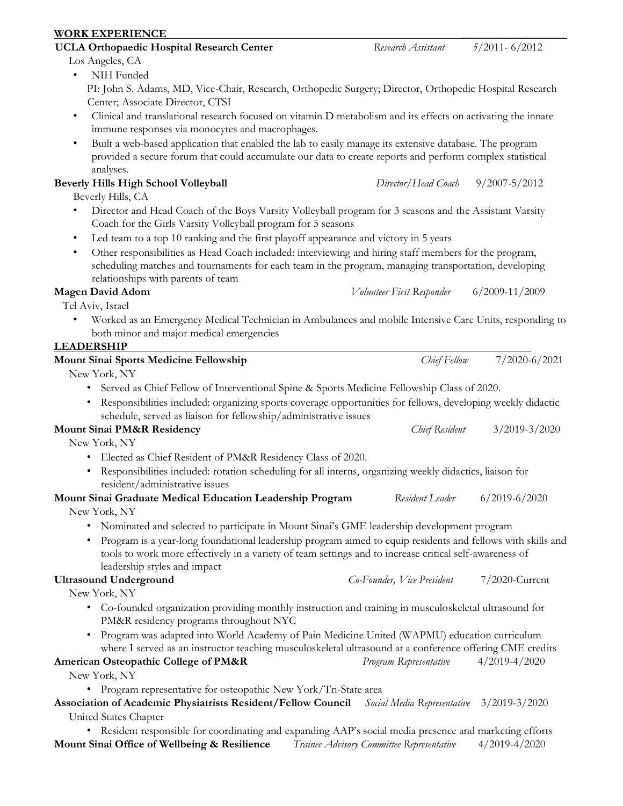# **WORK EXPERIENCE \_\_\_\_\_\_\_\_\_\_\_\_\_\_\_\_\_\_\_**

#### **UCLA Orthopaedic Hospital Research Center** *Research Assistant 5/*2011- 6/2012 Los Angeles, CA

• NIH Funded PI: John S. Adams, MD, Vice-Chair, Research, Orthopedic Surgery; Director, Orthopedic Hospital Research Center; Associate Director, CTSI

- Clinical and translational research focused on vitamin D metabolism and its effects on activating the innate immune responses via monocytes and macrophages.
- Built a web-based application that enabled the lab to easily manage its extensive database. The program provided a secure forum that could accumulate our data to create reports and perform complex statistical analyses.

# **Beverly Hills High School Volleyball** *Director*/*Head Coach* 9/2007-5/2012

Beverly Hills, CA

- Director and Head Coach of the Boys Varsity Volleyball program for 3 seasons and the Assistant Varsity Coach for the Girls Varsity Volleyball program for 5 seasons
- Led team to a top 10 ranking and the first playoff appearance and victory in 5 years
- Other responsibilities as Head Coach included: interviewing and hiring staff members for the program, scheduling matches and tournaments for each team in the program, managing transportation, developing relationships with parents of team

# **Magen David Adom** *Volunteer First Responder* 6/2009-11/2009

Tel Aviv, Israel

• Worked as an Emergency Medical Technician in Ambulances and mobile Intensive Care Units, responding to both minor and major medical emergencies

# **LEADERSHIP**

# **Mount Sinai Sports Medicine Fellowship** *Chief Fellow* 7/2020-6/2021 New York, NY • Served as Chief Fellow of Interventional Spine & Sports Medicine Fellowship Class of 2020. • Responsibilities included: organizing sports coverage opportunities for fellows, developing weekly didactic schedule, served as liaison for fellowship/administrative issues **Mount Sinai PM&R Residency** *Chief Resident* 3/2019-3/2020 New York, NY • Elected as Chief Resident of PM&R Residency Class of 2020. • Responsibilities included: rotation scheduling for all interns, organizing weekly didactics, liaison for resident/administrative issues **Mount Sinai Graduate Medical Education Leadership Program** *Resident Leader* 6/2019-6/2020 New York, NY • Nominated and selected to participate in Mount Sinai's GME leadership development program tools to work more effectively in a variety of team settings and to increase critical self-awareness of leadership styles and impact **Ultrasound Underground** *Co-Founder, Vice President* 7/2020-Current New York, NY • Co-founded organization providing monthly instruction and training in musculoskeletal ultrasound for PM&R residency programs throughout NYC • Program was adapted into World Academy of Pain Medicine United (WAPMU) education curriculum where I served as an instructor teaching musculoskeletal ultrasound at a conference offering CME credits **American Osteopathic College of PM&R** *Program Representative* 4/2019-4/2020 New York, NY • Program representative for osteopathic New York/Tri-State area **Association of Academic Physiatrists Resident/Fellow Council** *Social Media Representative* 3/2019-3/2020 United States Chapter • Resident responsible for coordinating and expanding AAP's social media presence and marketing efforts

**Mount Sinai Office of Wellbeing & Resilience** *Trainee Advisory Committee Representative* 4/2019-4/2020

• Program is a year-long foundational leadership program aimed to equip residents and fellows with skills and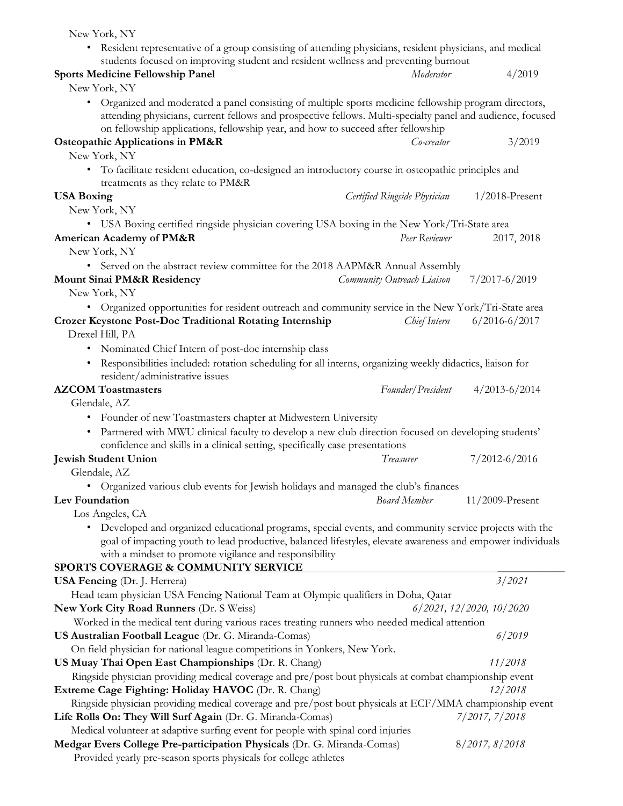| New York, NY                                                                                                                                                                                                                                                                                                                            |                              |                                  |
|-----------------------------------------------------------------------------------------------------------------------------------------------------------------------------------------------------------------------------------------------------------------------------------------------------------------------------------------|------------------------------|----------------------------------|
| • Resident representative of a group consisting of attending physicians, resident physicians, and medical<br>students focused on improving student and resident wellness and preventing burnout                                                                                                                                         |                              |                                  |
| <b>Sports Medicine Fellowship Panel</b>                                                                                                                                                                                                                                                                                                 | Moderator                    | 4/2019                           |
| New York, NY                                                                                                                                                                                                                                                                                                                            |                              |                                  |
| • Organized and moderated a panel consisting of multiple sports medicine fellowship program directors,<br>attending physicians, current fellows and prospective fellows. Multi-specialty panel and audience, focused<br>on fellowship applications, fellowship year, and how to succeed after fellowship                                |                              |                                  |
| <b>Osteopathic Applications in PM&amp;R</b><br>New York, NY                                                                                                                                                                                                                                                                             | Co-creator                   | 3/2019                           |
| • To facilitate resident education, co-designed an introductory course in osteopathic principles and<br>treatments as they relate to PM&R                                                                                                                                                                                               |                              |                                  |
| <b>USA Boxing</b>                                                                                                                                                                                                                                                                                                                       | Certified Ringside Physician | $1/2018$ -Present                |
| New York, NY                                                                                                                                                                                                                                                                                                                            |                              |                                  |
| • USA Boxing certified ringside physician covering USA boxing in the New York/Tri-State area                                                                                                                                                                                                                                            |                              |                                  |
| American Academy of PM&R                                                                                                                                                                                                                                                                                                                | Peer Reviewer                | 2017, 2018                       |
| New York, NY                                                                                                                                                                                                                                                                                                                            |                              |                                  |
| • Served on the abstract review committee for the 2018 AAPM&R Annual Assembly                                                                                                                                                                                                                                                           |                              |                                  |
| <b>Mount Sinai PM&amp;R Residency</b><br>New York, NY                                                                                                                                                                                                                                                                                   | Community Outreach Liaison   | 7/2017-6/2019                    |
| • Organized opportunities for resident outreach and community service in the New York/Tri-State area                                                                                                                                                                                                                                    |                              |                                  |
| <b>Crozer Keystone Post-Doc Traditional Rotating Internship</b><br>Drexel Hill, PA                                                                                                                                                                                                                                                      | Chief Intern                 | $6/2016 - 6/2017$                |
| • Nominated Chief Intern of post-doc internship class                                                                                                                                                                                                                                                                                   |                              |                                  |
| · Responsibilities included: rotation scheduling for all interns, organizing weekly didactics, liaison for<br>resident/administrative issues                                                                                                                                                                                            |                              |                                  |
| <b>AZCOM</b> Toastmasters                                                                                                                                                                                                                                                                                                               | Founder/President            | $4/2013 - 6/2014$                |
| Glendale, AZ                                                                                                                                                                                                                                                                                                                            |                              |                                  |
| • Founder of new Toastmasters chapter at Midwestern University<br>• Partnered with MWU clinical faculty to develop a new club direction focused on developing students'<br>confidence and skills in a clinical setting, specifically case presentations<br><b>Jewish Student Union</b>                                                  | Treasurer                    | $7/2012 - 6/2016$                |
| Glendale, AZ                                                                                                                                                                                                                                                                                                                            |                              |                                  |
| Organized various club events for Jewish holidays and managed the club's finances                                                                                                                                                                                                                                                       |                              |                                  |
| Lev Foundation                                                                                                                                                                                                                                                                                                                          | <b>Board Member</b>          | $11/2009$ -Present               |
| Los Angeles, CA<br>Developed and organized educational programs, special events, and community service projects with the<br>goal of impacting youth to lead productive, balanced lifestyles, elevate awareness and empower individuals<br>with a mindset to promote vigilance and responsibility<br>SPORTS COVERAGE & COMMUNITY SERVICE |                              |                                  |
| <b>USA Fencing</b> (Dr. J. Herrera)                                                                                                                                                                                                                                                                                                     |                              | 3/2021                           |
| Head team physician USA Fencing National Team at Olympic qualifiers in Doha, Qatar                                                                                                                                                                                                                                                      |                              |                                  |
| <b>New York City Road Runners (Dr. S Weiss)</b>                                                                                                                                                                                                                                                                                         |                              | $6/2021$ , $12/2020$ , $10/2020$ |
| Worked in the medical tent during various races treating runners who needed medical attention                                                                                                                                                                                                                                           |                              |                                  |
| US Australian Football League (Dr. G. Miranda-Comas)                                                                                                                                                                                                                                                                                    |                              | 6/2019                           |
| On field physician for national league competitions in Yonkers, New York.                                                                                                                                                                                                                                                               |                              |                                  |
| US Muay Thai Open East Championships (Dr. R. Chang)                                                                                                                                                                                                                                                                                     |                              | 11/2018                          |
| Ringside physician providing medical coverage and pre/post bout physicals at combat championship event                                                                                                                                                                                                                                  |                              |                                  |
| Extreme Cage Fighting: Holiday HAVOC (Dr. R. Chang)                                                                                                                                                                                                                                                                                     |                              | 12/2018                          |
| Ringside physician providing medical coverage and pre/post bout physicals at ECF/MMA championship event                                                                                                                                                                                                                                 |                              |                                  |
| Life Rolls On: They Will Surf Again (Dr. G. Miranda-Comas)<br>7/2017, 7/2018                                                                                                                                                                                                                                                            |                              |                                  |
| Medical volunteer at adaptive surfing event for people with spinal cord injuries                                                                                                                                                                                                                                                        |                              |                                  |
| Medgar Evers College Pre-participation Physicals (Dr. G. Miranda-Comas)<br>Provided yearly pre-season sports physicals for college athletes                                                                                                                                                                                             |                              | 8/2017, 8/2018                   |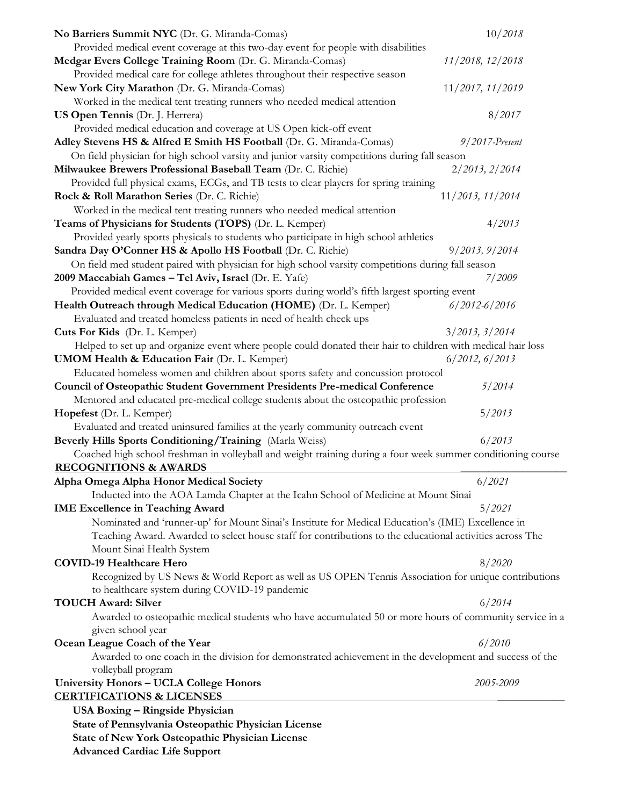| No Barriers Summit NYC (Dr. G. Miranda-Comas)                                                                | 10/2018           |
|--------------------------------------------------------------------------------------------------------------|-------------------|
| Provided medical event coverage at this two-day event for people with disabilities                           |                   |
| Medgar Evers College Training Room (Dr. G. Miranda-Comas)                                                    | 11/2018, 12/2018  |
| Provided medical care for college athletes throughout their respective season                                |                   |
| New York City Marathon (Dr. G. Miranda-Comas)                                                                | 11/2017, 11/2019  |
| Worked in the medical tent treating runners who needed medical attention                                     |                   |
| US Open Tennis (Dr. J. Herrera)                                                                              | 8/2017            |
| Provided medical education and coverage at US Open kick-off event                                            |                   |
| Adley Stevens HS & Alfred E Smith HS Football (Dr. G. Miranda-Comas)                                         | $9/2017$ -Present |
| On field physician for high school varsity and junior varsity competitions during fall season                |                   |
| Milwaukee Brewers Professional Baseball Team (Dr. C. Richie)                                                 | 2/2013, 2/2014    |
| Provided full physical exams, ECGs, and TB tests to clear players for spring training                        |                   |
| Rock & Roll Marathon Series (Dr. C. Richie)                                                                  | 11/2013, 11/2014  |
| Worked in the medical tent treating runners who needed medical attention                                     |                   |
| Teams of Physicians for Students (TOPS) (Dr. L. Kemper)                                                      | 4/2013            |
| Provided yearly sports physicals to students who participate in high school athletics                        |                   |
| Sandra Day O'Conner HS & Apollo HS Football (Dr. C. Richie)                                                  | 9/2013, 9/2014    |
| On field med student paired with physician for high school varsity competitions during fall season           |                   |
| 2009 Maccabiah Games - Tel Aviv, Israel (Dr. E. Yafe)                                                        | 7/2009            |
| Provided medical event coverage for various sports during world's fifth largest sporting event               |                   |
| Health Outreach through Medical Education (HOME) (Dr. L. Kemper)                                             | $6/2012 - 6/2016$ |
| Evaluated and treated homeless patients in need of health check ups                                          |                   |
| Cuts For Kids (Dr. L. Kemper)                                                                                | 3/2013, 3/2014    |
| Helped to set up and organize event where people could donated their hair to children with medical hair loss |                   |
| <b>UMOM Health &amp; Education Fair (Dr. L. Kemper)</b>                                                      | 6/2012, 6/2013    |
| Educated homeless women and children about sports safety and concussion protocol                             |                   |
| Council of Osteopathic Student Government Presidents Pre-medical Conference                                  | 5/2014            |
| Mentored and educated pre-medical college students about the osteopathic profession                          |                   |
| Hopefest (Dr. L. Kemper)                                                                                     | 5/2013            |
| Evaluated and treated uninsured families at the yearly community outreach event                              |                   |
| Beverly Hills Sports Conditioning/Training (Marla Weiss)                                                     | 6/2013            |
| Coached high school freshman in volleyball and weight training during a four week summer conditioning course |                   |
| <b>RECOGNITIONS &amp; AWARDS</b>                                                                             |                   |
| Alpha Omega Alpha Honor Medical Society                                                                      | 6/2021            |
| Inducted into the AOA Lamda Chapter at the Icahn School of Medicine at Mount Sinai                           |                   |
| <b>IME Excellence in Teaching Award</b>                                                                      | 5/2021            |
| Nominated and 'runner-up' for Mount Sinai's Institute for Medical Education's (IME) Excellence in            |                   |
| Teaching Award. Awarded to select house staff for contributions to the educational activities across The     |                   |
| Mount Sinai Health System                                                                                    |                   |
| <b>COVID-19 Healthcare Hero</b>                                                                              | 8/2020            |
| Recognized by US News & World Report as well as US OPEN Tennis Association for unique contributions          |                   |
| to healthcare system during COVID-19 pandemic                                                                |                   |
| <b>TOUCH Award: Silver</b>                                                                                   | 6/2014            |
| Awarded to osteopathic medical students who have accumulated 50 or more hours of community service in a      |                   |
| given school year                                                                                            |                   |
| Ocean League Coach of the Year                                                                               | 6/2010            |
| Awarded to one coach in the division for demonstrated achievement in the development and success of the      |                   |
| volleyball program                                                                                           |                   |
| <b>University Honors - UCLA College Honors</b>                                                               | 2005-2009         |
| <b>CERTIFICATIONS &amp; LICENSES</b>                                                                         |                   |
| <b>USA Boxing - Ringside Physician</b>                                                                       |                   |
| State of Pennsylvania Osteopathic Physician License                                                          |                   |
| <b>State of New York Osteopathic Physician License</b>                                                       |                   |
| <b>Advanced Cardiac Life Support</b>                                                                         |                   |